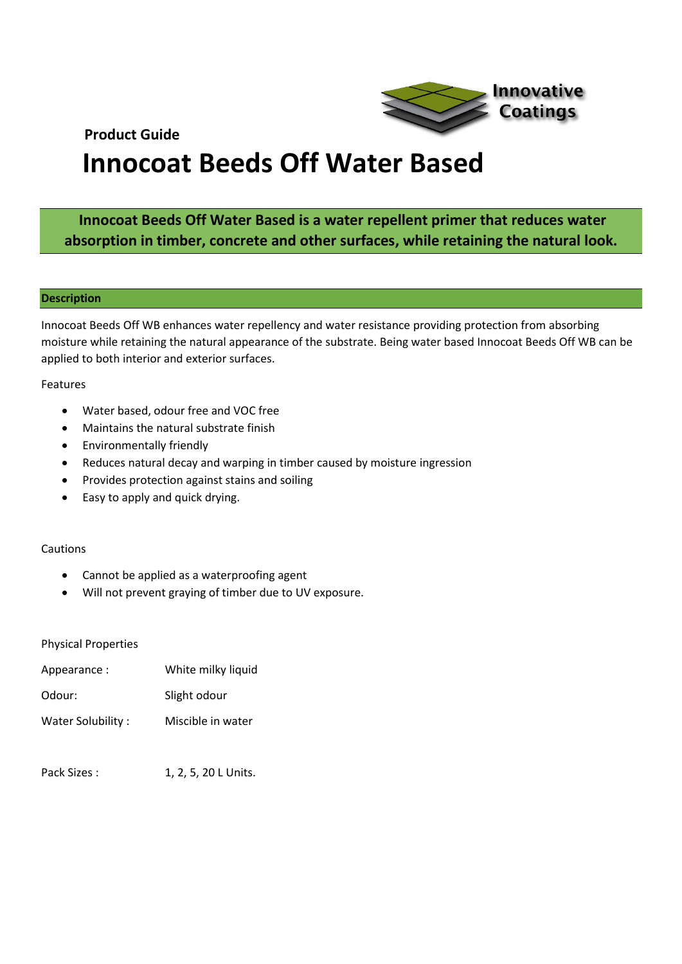**Product Guide** 



# **Innocoat Beeds Off Water Based**

## **Innocoat Beeds Off Water Based is a water repellent primer that reduces water absorption in timber, concrete and other surfaces, while retaining the natural look.**

#### **Description**

Innocoat Beeds Off WB enhances water repellency and water resistance providing protection from absorbing moisture while retaining the natural appearance of the substrate. Being water based Innocoat Beeds Off WB can be applied to both interior and exterior surfaces.

#### Features

- Water based, odour free and VOC free
- Maintains the natural substrate finish
- Environmentally friendly
- Reduces natural decay and warping in timber caused by moisture ingression
- Provides protection against stains and soiling
- Easy to apply and quick drying.

#### Cautions

- Cannot be applied as a waterproofing agent
- Will not prevent graying of timber due to UV exposure.

#### Physical Properties

| Appearance:       | White milky liquid |
|-------------------|--------------------|
| Odour:            | Slight odour       |
| Water Solubility: | Miscible in water  |

Pack Sizes : 1, 2, 5, 20 L Units.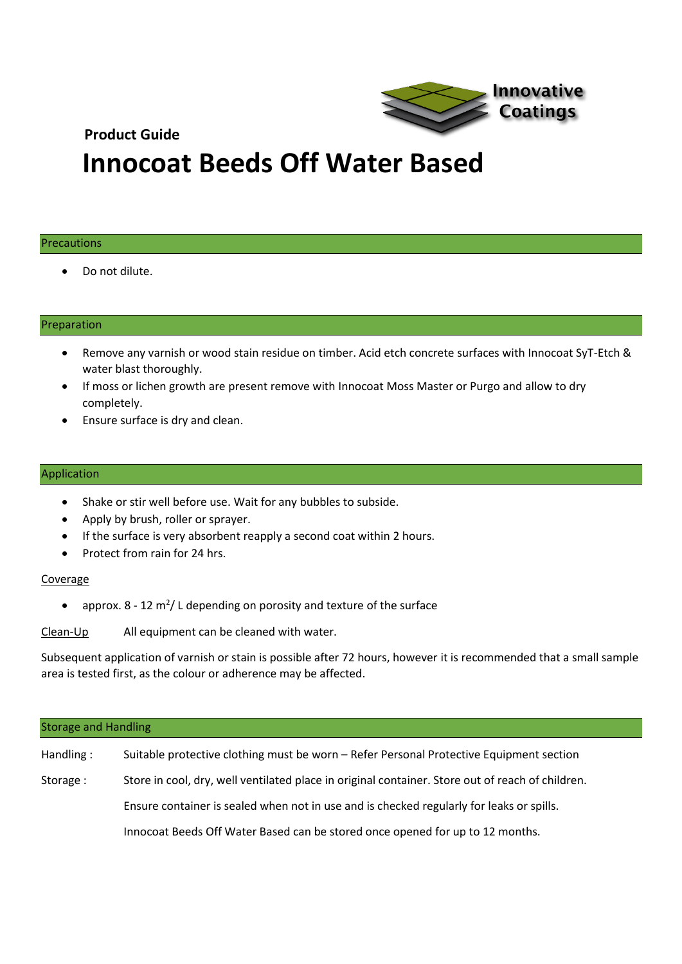### **Product Guide**



## **Innocoat Beeds Off Water Based**

#### Precautions

• Do not dilute.

#### Preparation

- Remove any varnish or wood stain residue on timber. Acid etch concrete surfaces with Innocoat SyT-Etch & water blast thoroughly.
- If moss or lichen growth are present remove with Innocoat Moss Master or Purgo and allow to dry completely.
- Ensure surface is dry and clean.

#### Application

- Shake or stir well before use. Wait for any bubbles to subside.
- Apply by brush, roller or sprayer.
- If the surface is very absorbent reapply a second coat within 2 hours.
- Protect from rain for 24 hrs.

#### Coverage

• approx.  $8 - 12$  m<sup>2</sup>/L depending on porosity and texture of the surface

Clean-Up All equipment can be cleaned with water.

Subsequent application of varnish or stain is possible after 72 hours, however it is recommended that a small sample area is tested first, as the colour or adherence may be affected.

| <b>Storage and Handling</b> |                                                                                                  |  |
|-----------------------------|--------------------------------------------------------------------------------------------------|--|
| Handling:                   | Suitable protective clothing must be worn - Refer Personal Protective Equipment section          |  |
| Storage:                    | Store in cool, dry, well ventilated place in original container. Store out of reach of children. |  |
|                             | Ensure container is sealed when not in use and is checked regularly for leaks or spills.         |  |
|                             | Innocoat Beeds Off Water Based can be stored once opened for up to 12 months.                    |  |